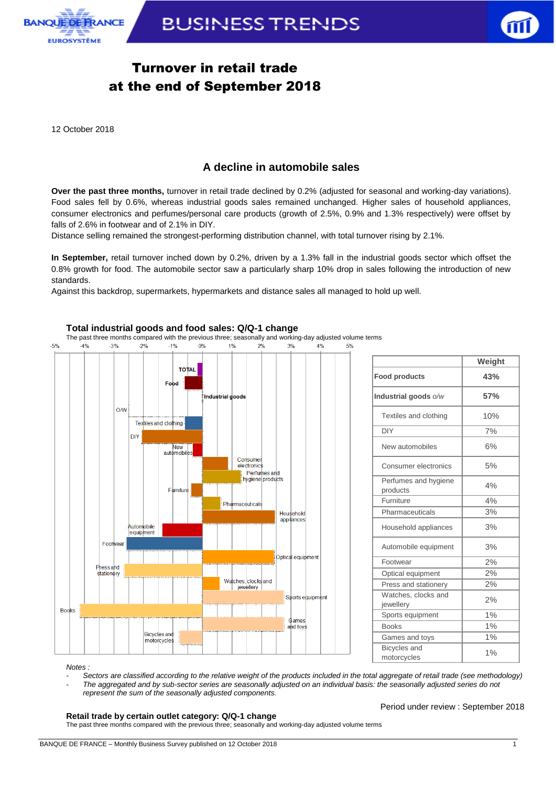



**Weight**

## Turnover in retail trade at the end of September 2018

12 October 2018

### **A decline in automobile sales**

**Over the past three months,** turnover in retail trade declined by 0.2% (adjusted for seasonal and working-day variations). Food sales fell by 0.6%, whereas industrial goods sales remained unchanged. Higher sales of household appliances, consumer electronics and perfumes/personal care products (growth of 2.5%, 0.9% and 1.3% respectively) were offset by falls of 2.6% in footwear and of 2.1% in DIY.

Distance selling remained the strongest-performing distribution channel, with total turnover rising by 2.1%.

**In September,** retail turnover inched down by 0.2%, driven by a 1.3% fall in the industrial goods sector which offset the 0.8% growth for food. The automobile sector saw a particularly sharp 10% drop in sales following the introduction of new standards.

Against this backdrop, supermarkets, hypermarkets and distance sales all managed to hold up well.



#### **Total industrial goods and food sales: Q/Q-1 change**

Perfumes and hygiene | 4%

**Retail trade by certain outlet category: Q/Q-1 change**  The past three months compared with the previous three; seasonally and working-day adjusted volume terms

*- Sectors are classified according to the relative weight of the products included in the total aggregate of retail trade (see methodology) - The aggregated and by sub-sector series are seasonally adjusted on an individual basis: the seasonally adjusted series do not* 

*represent the sum of the seasonally adjusted components.*

*Notes :* 

Period under review : September 2018